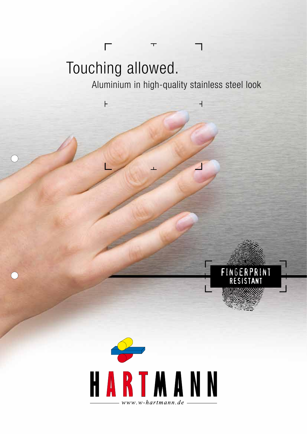# Touching allowed.

 $\overline{\Gamma}$ 

 $\vdash$ 

 $\overline{C}$ 

Aluminium in high-quality stainless steel look

 $\top$ 

Fingerprint resistant

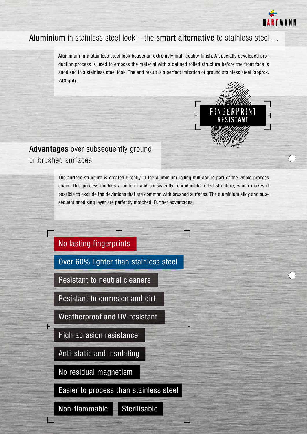

#### Aluminium in stainless steel look – the smart alternative to stainless steel ...

Aluminium in a stainless steel look boasts an extremely high-quality finish. A specially developed production process is used to emboss the material with a defined rolled structure before the front face is anodised in a stainless steel look. The end result is a perfect imitation of ground stainless steel (approx. 240 grit).



### Advantages over subsequently ground or brushed surfaces

The surface structure is created directly in the aluminium rolling mill and is part of the whole process chain. This process enables a uniform and consistently reproducible rolled structure, which makes it possible to exclude the deviations that are common with brushed surfaces. The aluminium alloy and subsequent anodising layer are perfectly matched. Further advantages:

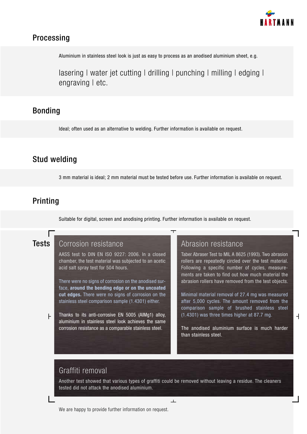

#### Processing

Aluminium in stainless steel look is just as easy to process as an anodised aluminium sheet, e.g.

lasering I water jet cutting I drilling I punching I milling I edging I engraving | etc.

#### Bonding

Ideal; often used as an alternative to welding. Further information is available on request.

#### Stud welding

3 mm material is ideal; 2 mm material must be tested before use. Further information is available on request.

#### Printing

Suitable for digital, screen and anodising printing. Further information is available on request.

#### **Tests**

Corrosion resistance

AASS test to DIN EN ISO 9227: 2006. In a closed chamber, the test material was subjected to an acetic acid salt spray test for 504 hours.

There were no signs of corrosion on the anodised surface, **around the bending edge or on the uncoated cut edges.** There were no signs of corrosion on the stainless steel comparison sample (1.4301) either.

Thanks to its anti-corrosive EN 5005 (AlMg1) alloy, H aluminium in stainless steel look achieves the same corrosion resistance as a comparable stainless steel.

Abrasion resistance

Taber Abraser Test to MIL A 8625 (1993). Two abrasion rollers are repeatedly circled over the test material. Following a specific number of cycles, measurements are taken to find out how much material the abrasion rollers have removed from the test objects.

Minimal material removal of 27.4 mg was measured after 5,000 cycles. The amount removed from the comparison sample of brushed stainless steel (1.4301) was three times higher at 87.7 mg.

The anodised aluminium surface is much harder than stainless steel.

 $\overline{\phantom{a}}$ 

#### Graffiti removal

Another test showed that various types of graffiti could be removed without leaving a residue. The cleaners tested did not attack the anodised aluminium.

 $\Box$ 

We are happy to provide further information on request.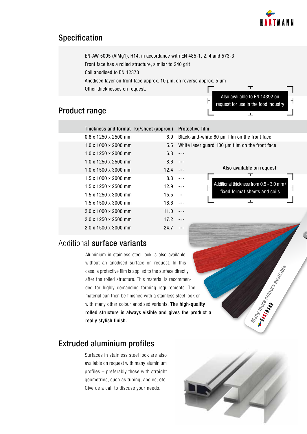

#### Specification

EN-AW 5005 (AlMg1), H14, in accordance with EN 485-1, 2, 4 and 573-3 Front face has a rolled structure, similar to 240 grit Coil anodised to EN 12373 Anodised layer on front face approx. 10 μm, on reverse approx. 5 μm Other thicknesses on request.

#### Product range

| Also available to EN 14392 on<br>request for use in the food industry |  |
|-----------------------------------------------------------------------|--|
|                                                                       |  |
|                                                                       |  |

|                                                 |              |      | Thickness and format kg/sheet (approx.) Protective film |
|-------------------------------------------------|--------------|------|---------------------------------------------------------|
| Black-and-white 80 µm film on the front face    |              | 6.9  | $0.8 \times 1250 \times 2500$ mm                        |
| White laser guard 100 µm film on the front face |              | 5.5  | $1.0 \times 1000 \times 2000$ mm                        |
|                                                 | $-11 -$      | 6.8  | $1.0 \times 1250 \times 2000$ mm                        |
|                                                 | $-11-$       | 8.6  | $1.0 \times 1250 \times 2500$ mm                        |
| Also available on request                       | $ -$         | 12.4 | $1.0 \times 1500 \times 3000$ mm                        |
|                                                 | $-$ 0 $-$    | 8.3  | $1.5 \times 1000 \times 2000$ mm                        |
| Additional thickness from 0.5 - 3.0             | $-11 -$<br>⊦ | 12.9 | 1.5 x 1250 x 2500 mm                                    |
| fixed format sheets and coi                     | $-11 -$      | 15.5 | 1.5 x 1250 x 3000 mm                                    |
|                                                 | $-11 -$      | 18.6 | 1.5 x 1500 x 3000 mm                                    |
|                                                 | $-11 -$      | 11.0 | 2.0 x 1000 x 2000 mm                                    |
|                                                 | $ -$         | 17.2 | 2.0 x 1250 x 2500 mm                                    |
|                                                 | $-11-$       | 24.7 | $2.0 \times 1500 \times 3000$ mm                        |
|                                                 |              |      |                                                         |

#### film white 80 μm film on the front face

|                                                 | Also available on request:                                               |  |
|-------------------------------------------------|--------------------------------------------------------------------------|--|
| ⊦                                               | Additional thickness from 0.5 - 3.0 mm/<br>fixed format sheets and coils |  |
|                                                 | 工                                                                        |  |
| n-<br>The<br>ook or<br>า-quality<br>e product a | Nammore cooperating approach                                             |  |

#### Additional surface variants

Aluminium in stainless steel look is also available without an anodised surface on request. In this case, a protective film is applied to the surface directly after the rolled structure. This material is recommended for highly demanding forming requirements. The material can then be finished with a stainless steel look or with many other colour anodised variants. The high-quality rolled structure is always visible and gives the product a really stylish finish.

#### Extruded aluminium profiles

Surfaces in stainless steel look are also available on request with many aluminium profiles – preferably those with straight geometries, such as tubing, angles, etc. Give us a call to discuss your needs.

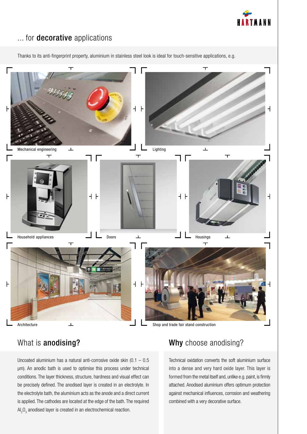

#### ... for **decorative** applications

Thanks to its anti-fingerprint property, aluminium in stainless steel look is ideal for touch-sensitive applications, e.g.



Uncoated aluminium has a natural anti-corrosive oxide skin  $(0.1 - 0.5)$ μm). An anodic bath is used to optimise this process under technical conditions. The layer thickness, structure, hardness and visual effect can be precisely defined. The anodised layer is created in an electrolyte. In the electrolyte bath, the aluminium acts as the anode and a direct current is applied. The cathodes are located at the edge of the bath. The required  ${\sf Al}_2{\sf O}_3$  anodised layer is created in an electrochemical reaction.

## What is **anodising?** What is **anodising?**

Technical oxidation converts the soft aluminium surface into a dense and very hard oxide layer. This layer is formed from the metal itself and, unlike e.g. paint, is firmly attached. Anodised aluminium offers optimum protection against mechanical influences, corrosion and weathering combined with a very decorative surface.